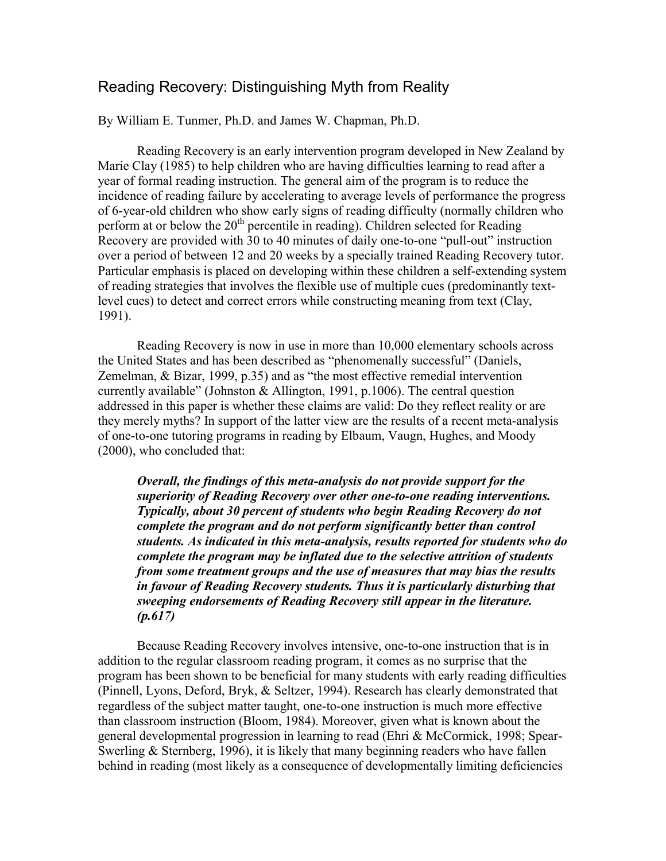## Reading Recovery: Distinguishing Myth from Reality

By William E. Tunmer, Ph.D. and James W. Chapman, Ph.D.

Reading Recovery is an early intervention program developed in New Zealand by Marie Clay (1985) to help children who are having difficulties learning to read after a year of formal reading instruction. The general aim of the program is to reduce the incidence of reading failure by accelerating to average levels of performance the progress of 6-year-old children who show early signs of reading difficulty (normally children who perform at or below the  $20<sup>th</sup>$  percentile in reading). Children selected for Reading Recovery are provided with 30 to 40 minutes of daily one-to-one "pull-out" instruction over a period of between 12 and 20 weeks by a specially trained Reading Recovery tutor. Particular emphasis is placed on developing within these children a self-extending system of reading strategies that involves the flexible use of multiple cues (predominantly textlevel cues) to detect and correct errors while constructing meaning from text (Clay, 1991).

Reading Recovery is now in use in more than 10,000 elementary schools across the United States and has been described as "phenomenally successful" (Daniels, Zemelman, & Bizar, 1999, p.35) and as "the most effective remedial intervention currently available" (Johnston & Allington, 1991, p.1006). The central question addressed in this paper is whether these claims are valid: Do they reflect reality or are they merely myths? In support of the latter view are the results of a recent meta-analysis of one-to-one tutoring programs in reading by Elbaum, Vaugn, Hughes, and Moody (2000), who concluded that:

*Overall, the findings of this meta-analysis do not provide support for the superiority of Reading Recovery over other one-to-one reading interventions. Typically, about 30 percent of students who begin Reading Recovery do not complete the program and do not perform significantly better than control students. As indicated in this meta-analysis, results reported for students who do complete the program may be inflated due to the selective attrition of students from some treatment groups and the use of measures that may bias the results in favour of Reading Recovery students. Thus it is particularly disturbing that sweeping endorsements of Reading Recovery still appear in the literature. (p.617)* 

Because Reading Recovery involves intensive, one-to-one instruction that is in addition to the regular classroom reading program, it comes as no surprise that the program has been shown to be beneficial for many students with early reading difficulties (Pinnell, Lyons, Deford, Bryk, & Seltzer, 1994). Research has clearly demonstrated that regardless of the subject matter taught, one-to-one instruction is much more effective than classroom instruction (Bloom, 1984). Moreover, given what is known about the general developmental progression in learning to read (Ehri & McCormick, 1998; Spear-Swerling & Sternberg, 1996), it is likely that many beginning readers who have fallen behind in reading (most likely as a consequence of developmentally limiting deficiencies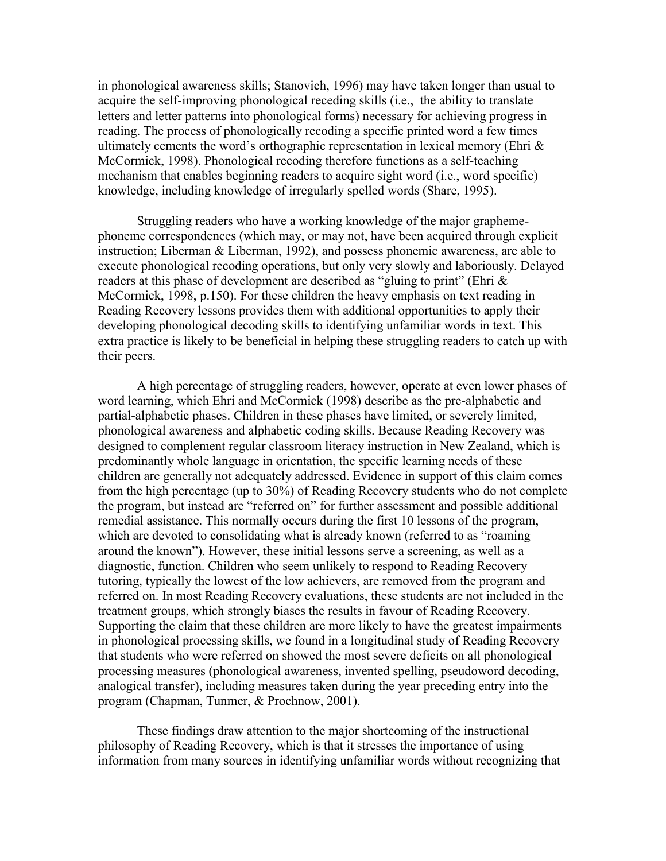in phonological awareness skills; Stanovich, 1996) may have taken longer than usual to acquire the self-improving phonological receding skills (i.e., the ability to translate letters and letter patterns into phonological forms) necessary for achieving progress in reading. The process of phonologically recoding a specific printed word a few times ultimately cements the word's orthographic representation in lexical memory (Ehri  $\&$ McCormick, 1998). Phonological recoding therefore functions as a self-teaching mechanism that enables beginning readers to acquire sight word (i.e., word specific) knowledge, including knowledge of irregularly spelled words (Share, 1995).

Struggling readers who have a working knowledge of the major graphemephoneme correspondences (which may, or may not, have been acquired through explicit instruction; Liberman & Liberman, 1992), and possess phonemic awareness, are able to execute phonological recoding operations, but only very slowly and laboriously. Delayed readers at this phase of development are described as "gluing to print" (Ehri & McCormick, 1998, p.150). For these children the heavy emphasis on text reading in Reading Recovery lessons provides them with additional opportunities to apply their developing phonological decoding skills to identifying unfamiliar words in text. This extra practice is likely to be beneficial in helping these struggling readers to catch up with their peers.

A high percentage of struggling readers, however, operate at even lower phases of word learning, which Ehri and McCormick (1998) describe as the pre-alphabetic and partial-alphabetic phases. Children in these phases have limited, or severely limited, phonological awareness and alphabetic coding skills. Because Reading Recovery was designed to complement regular classroom literacy instruction in New Zealand, which is predominantly whole language in orientation, the specific learning needs of these children are generally not adequately addressed. Evidence in support of this claim comes from the high percentage (up to 30%) of Reading Recovery students who do not complete the program, but instead are "referred on" for further assessment and possible additional remedial assistance. This normally occurs during the first 10 lessons of the program, which are devoted to consolidating what is already known (referred to as "roaming") around the known"). However, these initial lessons serve a screening, as well as a diagnostic, function. Children who seem unlikely to respond to Reading Recovery tutoring, typically the lowest of the low achievers, are removed from the program and referred on. In most Reading Recovery evaluations, these students are not included in the treatment groups, which strongly biases the results in favour of Reading Recovery. Supporting the claim that these children are more likely to have the greatest impairments in phonological processing skills, we found in a longitudinal study of Reading Recovery that students who were referred on showed the most severe deficits on all phonological processing measures (phonological awareness, invented spelling, pseudoword decoding, analogical transfer), including measures taken during the year preceding entry into the program (Chapman, Tunmer, & Prochnow, 2001).

These findings draw attention to the major shortcoming of the instructional philosophy of Reading Recovery, which is that it stresses the importance of using information from many sources in identifying unfamiliar words without recognizing that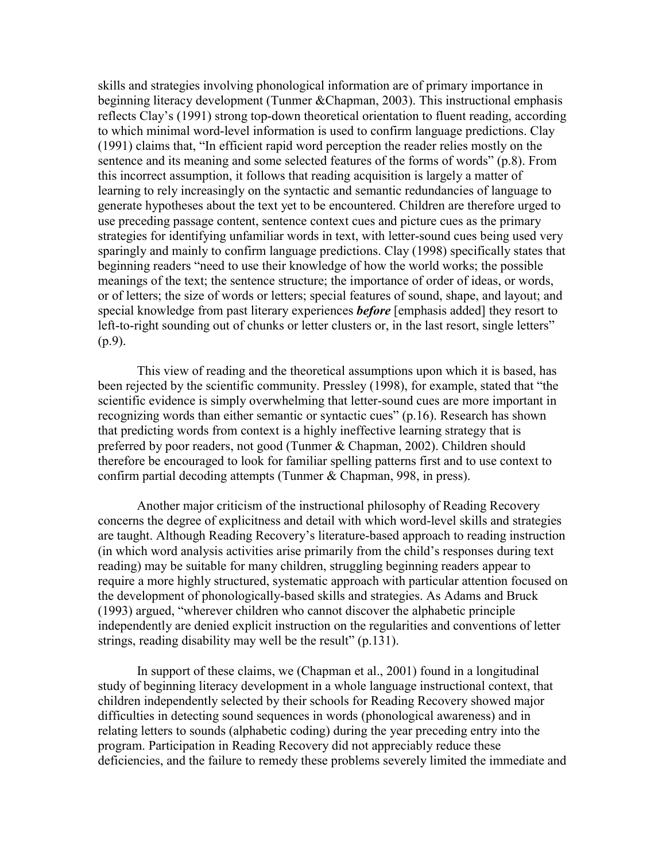skills and strategies involving phonological information are of primary importance in beginning literacy development (Tunmer &Chapman, 2003). This instructional emphasis reflects Clay's (1991) strong top-down theoretical orientation to fluent reading, according to which minimal word-level information is used to confirm language predictions. Clay (1991) claims that, "In efficient rapid word perception the reader relies mostly on the sentence and its meaning and some selected features of the forms of words" (p.8). From this incorrect assumption, it follows that reading acquisition is largely a matter of learning to rely increasingly on the syntactic and semantic redundancies of language to generate hypotheses about the text yet to be encountered. Children are therefore urged to use preceding passage content, sentence context cues and picture cues as the primary strategies for identifying unfamiliar words in text, with letter-sound cues being used very sparingly and mainly to confirm language predictions. Clay (1998) specifically states that beginning readers "need to use their knowledge of how the world works; the possible meanings of the text; the sentence structure; the importance of order of ideas, or words, or of letters; the size of words or letters; special features of sound, shape, and layout; and special knowledge from past literary experiences *before* [emphasis added] they resort to left-to-right sounding out of chunks or letter clusters or, in the last resort, single letters" (p.9).

This view of reading and the theoretical assumptions upon which it is based, has been rejected by the scientific community. Pressley (1998), for example, stated that "the scientific evidence is simply overwhelming that letter-sound cues are more important in recognizing words than either semantic or syntactic cues" (p.16). Research has shown that predicting words from context is a highly ineffective learning strategy that is preferred by poor readers, not good (Tunmer & Chapman, 2002). Children should therefore be encouraged to look for familiar spelling patterns first and to use context to confirm partial decoding attempts (Tunmer & Chapman, 998, in press).

Another major criticism of the instructional philosophy of Reading Recovery concerns the degree of explicitness and detail with which word-level skills and strategies are taught. Although Reading Recovery's literature-based approach to reading instruction (in which word analysis activities arise primarily from the child's responses during text reading) may be suitable for many children, struggling beginning readers appear to require a more highly structured, systematic approach with particular attention focused on the development of phonologically-based skills and strategies. As Adams and Bruck (1993) argued, "wherever children who cannot discover the alphabetic principle independently are denied explicit instruction on the regularities and conventions of letter strings, reading disability may well be the result" (p.131).

In support of these claims, we (Chapman et al., 2001) found in a longitudinal study of beginning literacy development in a whole language instructional context, that children independently selected by their schools for Reading Recovery showed major difficulties in detecting sound sequences in words (phonological awareness) and in relating letters to sounds (alphabetic coding) during the year preceding entry into the program. Participation in Reading Recovery did not appreciably reduce these deficiencies, and the failure to remedy these problems severely limited the immediate and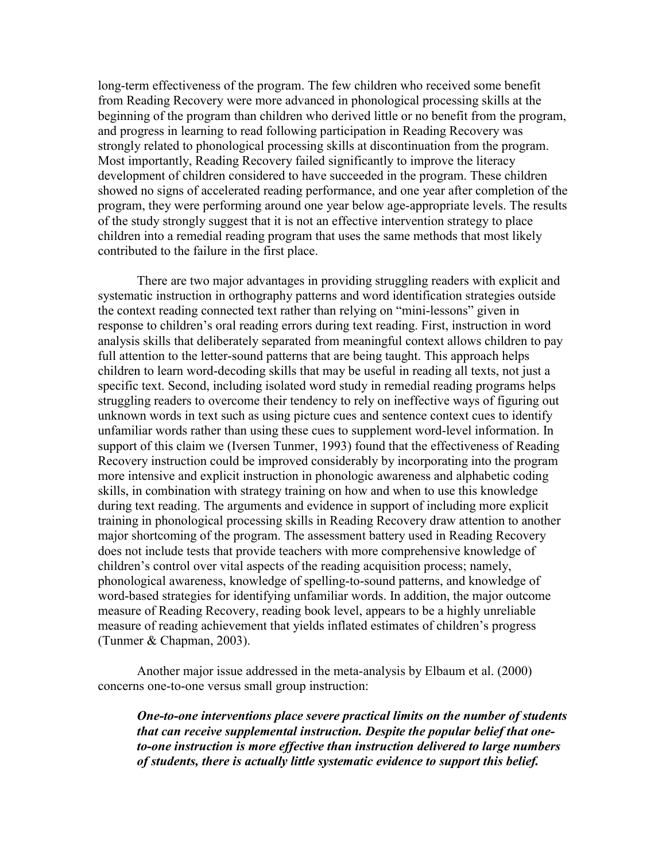long-term effectiveness of the program. The few children who received some benefit from Reading Recovery were more advanced in phonological processing skills at the beginning of the program than children who derived little or no benefit from the program, and progress in learning to read following participation in Reading Recovery was strongly related to phonological processing skills at discontinuation from the program. Most importantly, Reading Recovery failed significantly to improve the literacy development of children considered to have succeeded in the program. These children showed no signs of accelerated reading performance, and one year after completion of the program, they were performing around one year below age-appropriate levels. The results of the study strongly suggest that it is not an effective intervention strategy to place children into a remedial reading program that uses the same methods that most likely contributed to the failure in the first place.

There are two major advantages in providing struggling readers with explicit and systematic instruction in orthography patterns and word identification strategies outside the context reading connected text rather than relying on "mini-lessons" given in response to children's oral reading errors during text reading. First, instruction in word analysis skills that deliberately separated from meaningful context allows children to pay full attention to the letter-sound patterns that are being taught. This approach helps children to learn word-decoding skills that may be useful in reading all texts, not just a specific text. Second, including isolated word study in remedial reading programs helps struggling readers to overcome their tendency to rely on ineffective ways of figuring out unknown words in text such as using picture cues and sentence context cues to identify unfamiliar words rather than using these cues to supplement word-level information. In support of this claim we (Iversen Tunmer, 1993) found that the effectiveness of Reading Recovery instruction could be improved considerably by incorporating into the program more intensive and explicit instruction in phonologic awareness and alphabetic coding skills, in combination with strategy training on how and when to use this knowledge during text reading. The arguments and evidence in support of including more explicit training in phonological processing skills in Reading Recovery draw attention to another major shortcoming of the program. The assessment battery used in Reading Recovery does not include tests that provide teachers with more comprehensive knowledge of children's control over vital aspects of the reading acquisition process; namely, phonological awareness, knowledge of spelling-to-sound patterns, and knowledge of word-based strategies for identifying unfamiliar words. In addition, the major outcome measure of Reading Recovery, reading book level, appears to be a highly unreliable measure of reading achievement that yields inflated estimates of children's progress (Tunmer & Chapman, 2003).

Another major issue addressed in the meta-analysis by Elbaum et al. (2000) concerns one-to-one versus small group instruction:

*One-to-one interventions place severe practical limits on the number of students that can receive supplemental instruction. Despite the popular belief that oneto-one instruction is more effective than instruction delivered to large numbers of students, there is actually little systematic evidence to support this belief.*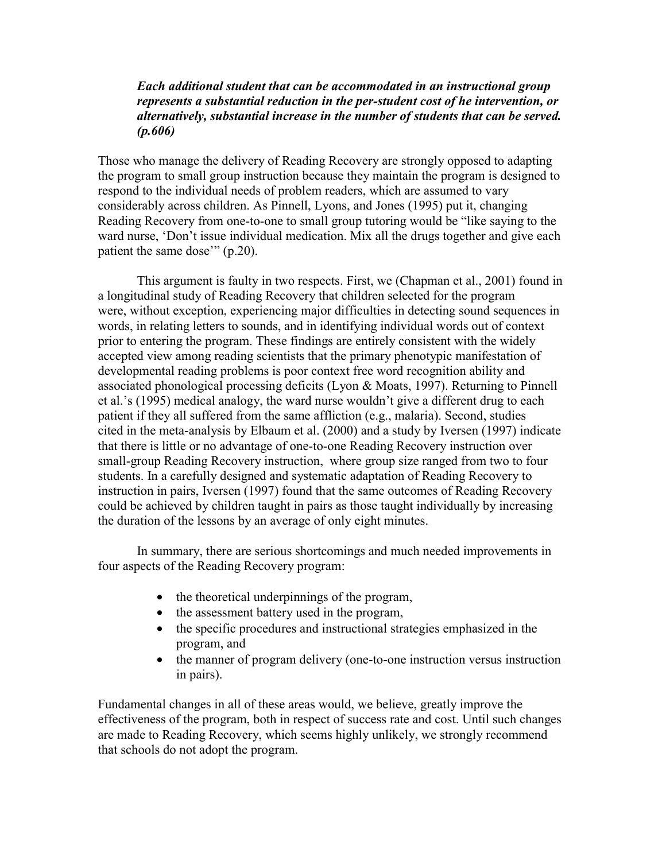## *Each additional student that can be accommodated in an instructional group represents a substantial reduction in the per-student cost of he intervention, or alternatively, substantial increase in the number of students that can be served. (p.606)*

Those who manage the delivery of Reading Recovery are strongly opposed to adapting the program to small group instruction because they maintain the program is designed to respond to the individual needs of problem readers, which are assumed to vary considerably across children. As Pinnell, Lyons, and Jones (1995) put it, changing Reading Recovery from one-to-one to small group tutoring would be "like saying to the ward nurse, 'Don't issue individual medication. Mix all the drugs together and give each patient the same dose'" (p.20).

This argument is faulty in two respects. First, we (Chapman et al., 2001) found in a longitudinal study of Reading Recovery that children selected for the program were, without exception, experiencing major difficulties in detecting sound sequences in words, in relating letters to sounds, and in identifying individual words out of context prior to entering the program. These findings are entirely consistent with the widely accepted view among reading scientists that the primary phenotypic manifestation of developmental reading problems is poor context free word recognition ability and associated phonological processing deficits (Lyon & Moats, 1997). Returning to Pinnell et al.'s (1995) medical analogy, the ward nurse wouldn't give a different drug to each patient if they all suffered from the same affliction (e.g., malaria). Second, studies cited in the meta-analysis by Elbaum et al. (2000) and a study by Iversen (1997) indicate that there is little or no advantage of one-to-one Reading Recovery instruction over small-group Reading Recovery instruction, where group size ranged from two to four students. In a carefully designed and systematic adaptation of Reading Recovery to instruction in pairs, Iversen (1997) found that the same outcomes of Reading Recovery could be achieved by children taught in pairs as those taught individually by increasing the duration of the lessons by an average of only eight minutes.

In summary, there are serious shortcomings and much needed improvements in four aspects of the Reading Recovery program:

- the theoretical underpinnings of the program,
- the assessment battery used in the program,
- the specific procedures and instructional strategies emphasized in the program, and
- the manner of program delivery (one-to-one instruction versus instruction in pairs).

Fundamental changes in all of these areas would, we believe, greatly improve the effectiveness of the program, both in respect of success rate and cost. Until such changes are made to Reading Recovery, which seems highly unlikely, we strongly recommend that schools do not adopt the program.